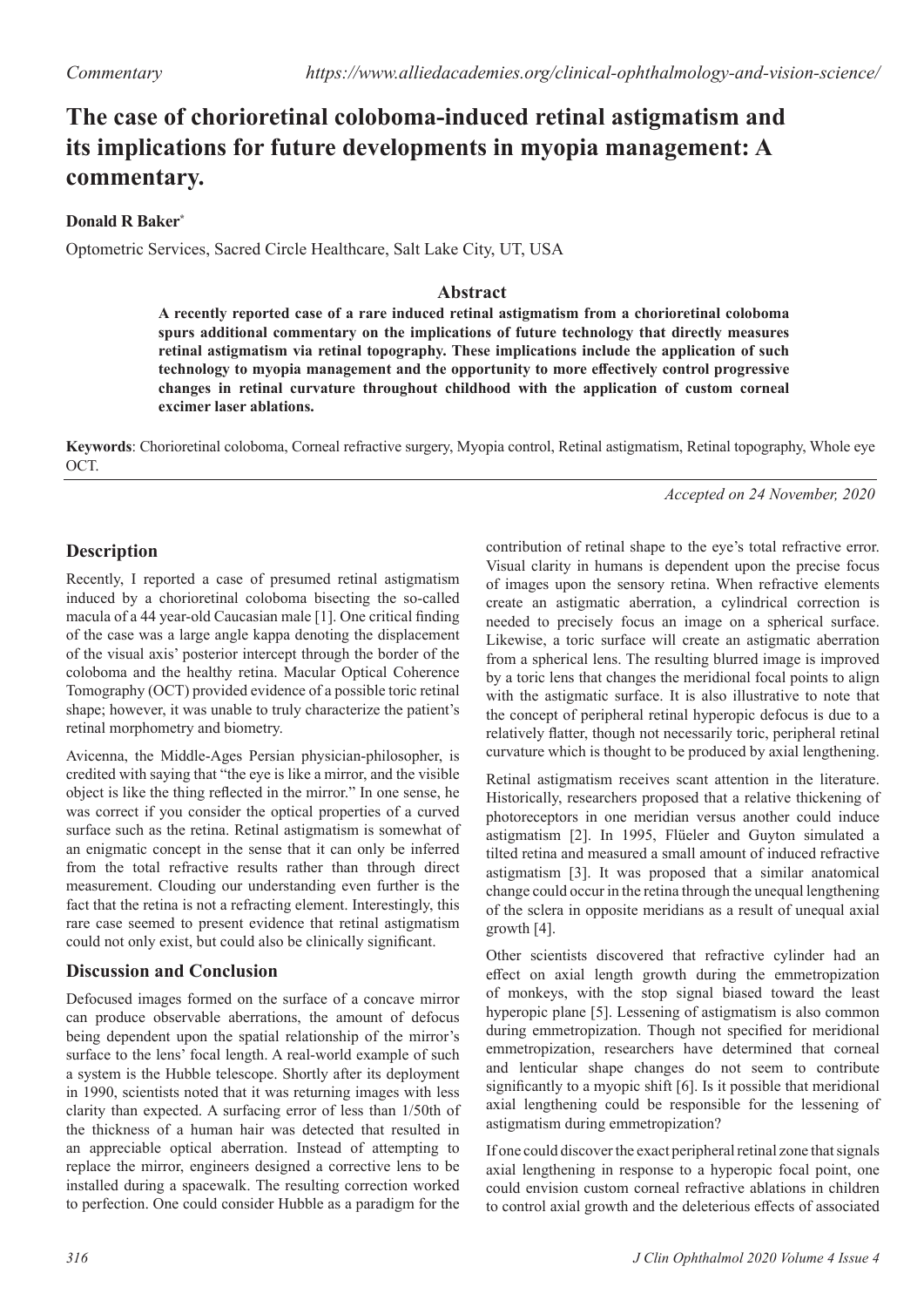# **The case of chorioretinal coloboma-induced retinal astigmatism and its implications for future developments in myopia management: A commentary.**

# **Donald R Baker\***

Optometric Services, Sacred Circle Healthcare, Salt Lake City, UT, USA

## **Abstract**

**A recently reported case of a rare induced retinal astigmatism from a chorioretinal coloboma spurs additional commentary on the implications of future technology that directly measures retinal astigmatism via retinal topography. These implications include the application of such technology to myopia management and the opportunity to more effectively control progressive changes in retinal curvature throughout childhood with the application of custom corneal excimer laser ablations.**

**Keywords**: Chorioretinal coloboma, Corneal refractive surgery, Myopia control, Retinal astigmatism, Retinal topography, Whole eye OCT.

*Accepted on 24 November, 2020*

# **Description**

Recently, I reported a case of presumed retinal astigmatism induced by a chorioretinal coloboma bisecting the so-called macula of a 44 year-old Caucasian male [1]. One critical finding of the case was a large angle kappa denoting the displacement of the visual axis' posterior intercept through the border of the coloboma and the healthy retina. Macular Optical Coherence Tomography (OCT) provided evidence of a possible toric retinal shape; however, it was unable to truly characterize the patient's retinal morphometry and biometry.

Avicenna, the Middle-Ages Persian physician-philosopher, is credited with saying that "the eye is like a mirror, and the visible object is like the thing reflected in the mirror." In one sense, he was correct if you consider the optical properties of a curved surface such as the retina. Retinal astigmatism is somewhat of an enigmatic concept in the sense that it can only be inferred from the total refractive results rather than through direct measurement. Clouding our understanding even further is the fact that the retina is not a refracting element. Interestingly, this rare case seemed to present evidence that retinal astigmatism could not only exist, but could also be clinically significant.

# **Discussion and Conclusion**

Defocused images formed on the surface of a concave mirror can produce observable aberrations, the amount of defocus being dependent upon the spatial relationship of the mirror's surface to the lens' focal length. A real-world example of such a system is the Hubble telescope. Shortly after its deployment in 1990, scientists noted that it was returning images with less clarity than expected. A surfacing error of less than 1/50th of the thickness of a human hair was detected that resulted in an appreciable optical aberration. Instead of attempting to replace the mirror, engineers designed a corrective lens to be installed during a spacewalk. The resulting correction worked to perfection. One could consider Hubble as a paradigm for the contribution of retinal shape to the eye's total refractive error. Visual clarity in humans is dependent upon the precise focus of images upon the sensory retina. When refractive elements create an astigmatic aberration, a cylindrical correction is needed to precisely focus an image on a spherical surface. Likewise, a toric surface will create an astigmatic aberration from a spherical lens. The resulting blurred image is improved by a toric lens that changes the meridional focal points to align with the astigmatic surface. It is also illustrative to note that the concept of peripheral retinal hyperopic defocus is due to a relatively flatter, though not necessarily toric, peripheral retinal curvature which is thought to be produced by axial lengthening.

Retinal astigmatism receives scant attention in the literature. Historically, researchers proposed that a relative thickening of photoreceptors in one meridian versus another could induce astigmatism [2]. In 1995, Flüeler and Guyton simulated a tilted retina and measured a small amount of induced refractive astigmatism [3]. It was proposed that a similar anatomical change could occur in the retina through the unequal lengthening of the sclera in opposite meridians as a result of unequal axial growth [4].

Other scientists discovered that refractive cylinder had an effect on axial length growth during the emmetropization of monkeys, with the stop signal biased toward the least hyperopic plane [5]. Lessening of astigmatism is also common during emmetropization. Though not specified for meridional emmetropization, researchers have determined that corneal and lenticular shape changes do not seem to contribute significantly to a myopic shift [6]. Is it possible that meridional axial lengthening could be responsible for the lessening of astigmatism during emmetropization?

If one could discover the exact peripheral retinal zone that signals axial lengthening in response to a hyperopic focal point, one could envision custom corneal refractive ablations in children to control axial growth and the deleterious effects of associated